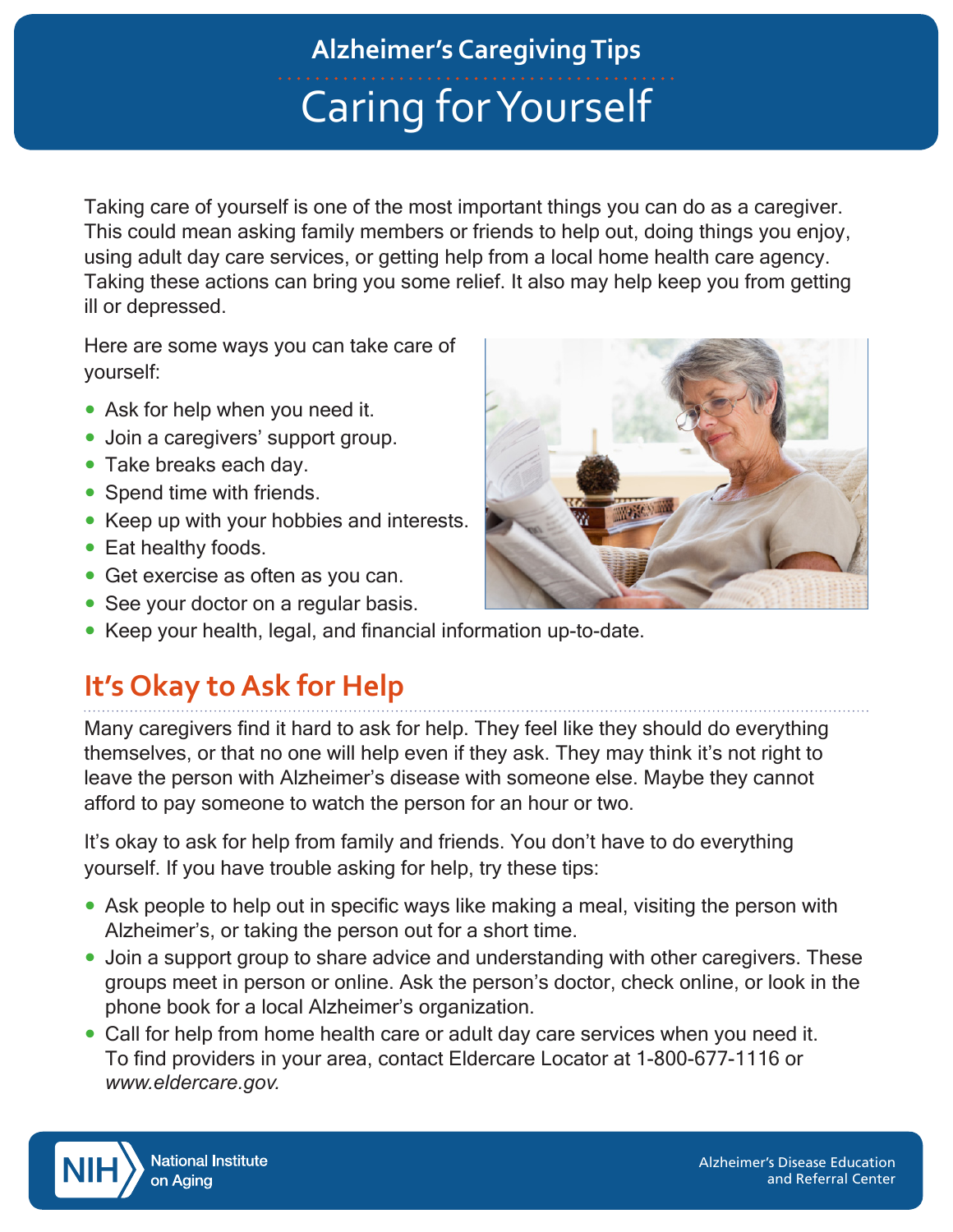# Caring for Yourself **Alzheimer's Caregiving Tips**

Taking care of yourself is one of the most important things you can do as a caregiver. This could mean asking family members or friends to help out, doing things you enjoy, using adult day care services, or getting help from a local home health care agency. Taking these actions can bring you some relief. It also may help keep you from getting ill or depressed.

Here are some ways you can take care of yourself:

- Ask for help when you need it.
- Join a caregivers' support group.
- Take breaks each day.
- Spend time with friends.
- Keep up with your hobbies and interests.
- Eat healthy foods.
- Get exercise as often as you can.
- See your doctor on a regular basis.



# **It's Okay to Ask for Help**

Many caregivers find it hard to ask for help. They feel like they should do everything themselves, or that no one will help even if they ask. They may think it's not right to leave the person with Alzheimer's disease with someone else. Maybe they cannot afford to pay someone to watch the person for an hour or two.

It's okay to ask for help from family and friends. You don't have to do everything yourself. If you have trouble asking for help, try these tips:

- Ask people to help out in specific ways like making a meal, visiting the person with Alzheimer's, or taking the person out for a short time.
- Join a support group to share advice and understanding with other caregivers. These groups meet in person or online. Ask the person's doctor, check online, or look in the phone book for a local Alzheimer's organization.
- Call for help from home health care or adult day care services when you need it. To find providers in your area, contact Eldercare Locator at 1-800-677-1116 or *www.eldercare.gov.*